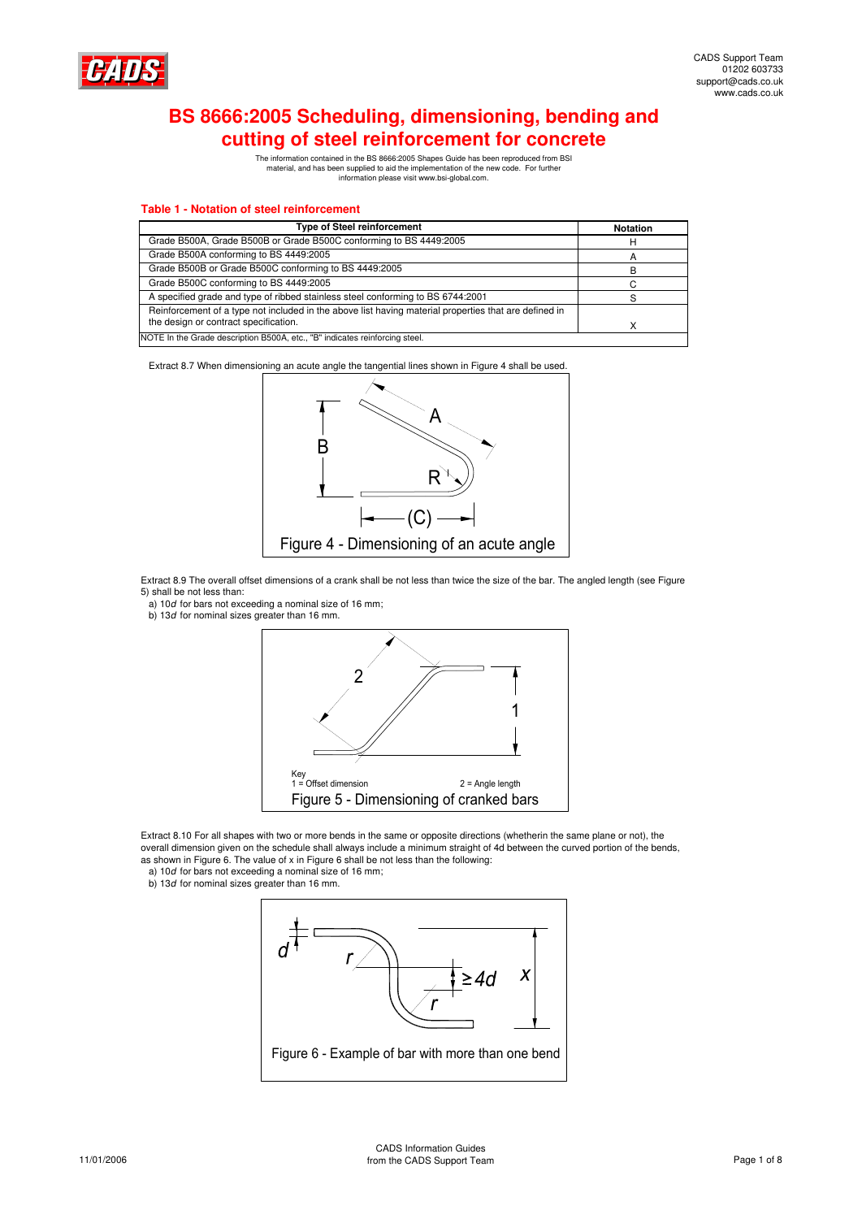

# **BS 8666:2005 Scheduling, dimensioning, bending and cutting of steel reinforcement for concrete**

The information contained in the BS 8666:2005 Shapes Guide has been reproduced from BSI material, and has been supplied to aid the implementation of the new code. For further information please visit www.bsi-global.com.

#### **Table 1 - Notation of steel reinforcement**

| <b>Type of Steel reinforcement</b>                                                                    | <b>Notation</b> |  |
|-------------------------------------------------------------------------------------------------------|-----------------|--|
| Grade B500A, Grade B500B or Grade B500C conforming to BS 4449:2005                                    |                 |  |
| Grade B500A conforming to BS 4449:2005                                                                |                 |  |
| Grade B500B or Grade B500C conforming to BS 4449:2005                                                 |                 |  |
| Grade B500C conforming to BS 4449:2005                                                                |                 |  |
| A specified grade and type of ribbed stainless steel conforming to BS 6744:2001                       |                 |  |
| Reinforcement of a type not included in the above list having material properties that are defined in |                 |  |
| the design or contract specification.                                                                 |                 |  |
| NOTE In the Grade description B500A, etc., "B" indicates reinforcing steel.                           |                 |  |

Extract 8.7 When dimensioning an acute angle the tangential lines shown in Figure 4 shall be used.



Extract 8.9 The overall offset dimensions of a crank shall be not less than twice the size of the bar. The angled length (see Figure 5) shall be not less than:

- a) 10d for bars not exceeding a nominal size of 16 mm;
- b) 13d for nominal sizes greater than 16 mm.



Extract 8.10 For all shapes with two or more bends in the same or opposite directions (whetherin the same plane or not), the overall dimension given on the schedule shall always include a minimum straight of 4d between the curved portion of the bends, as shown in Figure 6. The value of x in Figure 6 shall be not less than the following:

- a) 10d for bars not exceeding a nominal size of 16 mm;
- b) 13d for nominal sizes greater than 16 mm

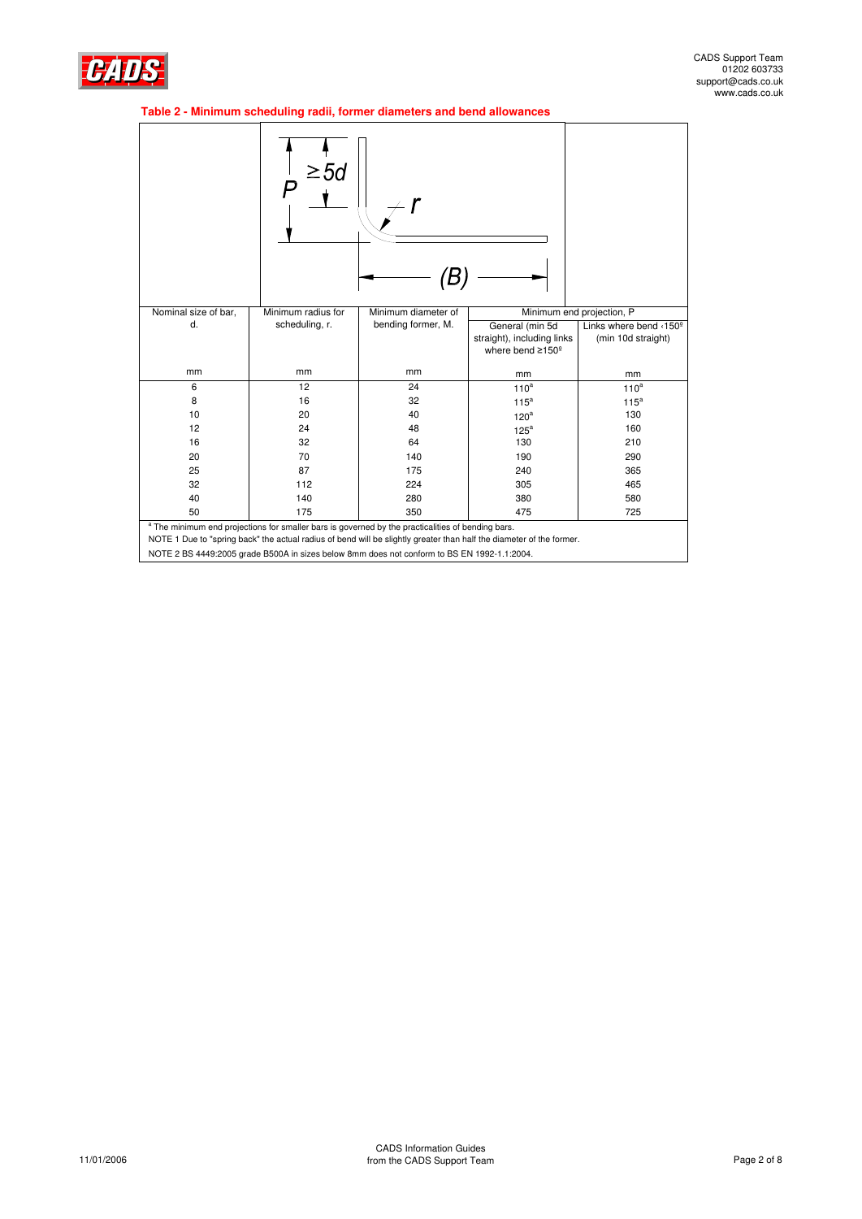

# **Table 2 - Minimum scheduling radii, former diameters and bend allowances**

|                                                                                                                                                                                                                                                                                                                                     | ≥5d                      |                     |                                                                               |                                              |
|-------------------------------------------------------------------------------------------------------------------------------------------------------------------------------------------------------------------------------------------------------------------------------------------------------------------------------------|--------------------------|---------------------|-------------------------------------------------------------------------------|----------------------------------------------|
| Nominal size of bar,                                                                                                                                                                                                                                                                                                                | Minimum radius for       | Minimum diameter of |                                                                               | Minimum end projection, P                    |
| d.                                                                                                                                                                                                                                                                                                                                  | scheduling, r.           | bending former, M.  | General (min 5d<br>straight), including links<br>where bend ≥150 <sup>°</sup> | Links where bend <150°<br>(min 10d straight) |
| mm                                                                                                                                                                                                                                                                                                                                  | mm                       | mm                  | mm                                                                            | mm                                           |
| 6                                                                                                                                                                                                                                                                                                                                   | 12                       | 24                  | 110 <sup>a</sup>                                                              | $110^a$                                      |
| 8                                                                                                                                                                                                                                                                                                                                   | 16                       | 32                  | 115 <sup>a</sup>                                                              | $115^a$                                      |
| 10                                                                                                                                                                                                                                                                                                                                  | 20                       | 40                  | 120 <sup>a</sup>                                                              | 130                                          |
| 12                                                                                                                                                                                                                                                                                                                                  | 24                       | 48                  | $125^a$                                                                       | 160                                          |
| 16                                                                                                                                                                                                                                                                                                                                  | 32                       | 64                  | 130                                                                           | 210                                          |
| 20                                                                                                                                                                                                                                                                                                                                  | 70                       | 140                 | 190                                                                           | 290                                          |
| 25                                                                                                                                                                                                                                                                                                                                  | 87                       | 175                 | 240                                                                           | 365                                          |
| 32                                                                                                                                                                                                                                                                                                                                  | 112                      | 224                 | 305                                                                           | 465                                          |
| 40                                                                                                                                                                                                                                                                                                                                  | 140                      | 280                 | 380                                                                           | 580                                          |
| 50                                                                                                                                                                                                                                                                                                                                  | 175<br>350<br>475<br>725 |                     |                                                                               |                                              |
| <sup>a</sup> The minimum end projections for smaller bars is governed by the practicalities of bending bars.<br>NOTE 1 Due to "spring back" the actual radius of bend will be slightly greater than half the diameter of the former.<br>NOTE 2 BS 4449:2005 grade B500A in sizes below 8mm does not conform to BS EN 1992-1.1:2004. |                          |                     |                                                                               |                                              |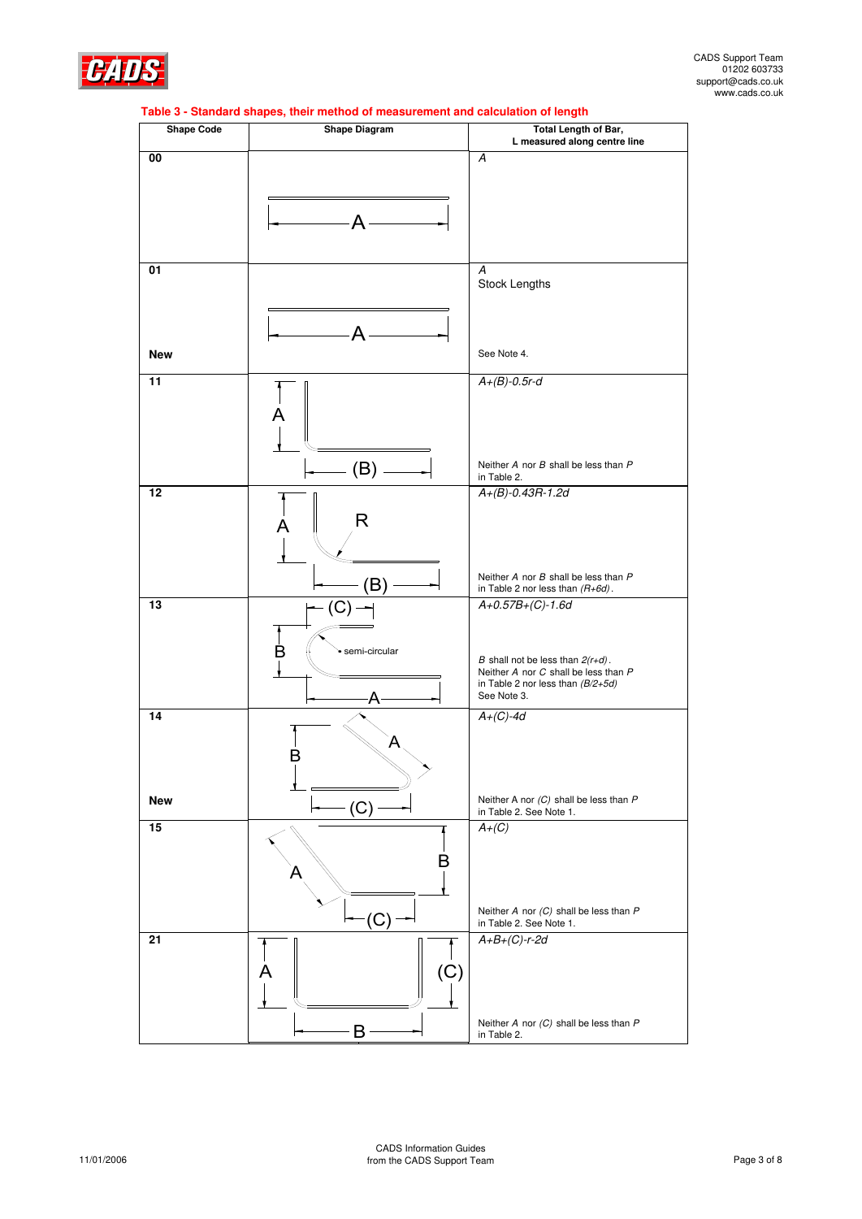

| <b>Shape Code</b> | Table 3 - Standard shapes, their method of measurement and calculation of length<br><b>Shape Diagram</b> | <b>Total Length of Bar,</b>                                                 |
|-------------------|----------------------------------------------------------------------------------------------------------|-----------------------------------------------------------------------------|
|                   |                                                                                                          | L measured along centre line                                                |
| 00                |                                                                                                          | A                                                                           |
|                   |                                                                                                          |                                                                             |
|                   |                                                                                                          |                                                                             |
|                   |                                                                                                          |                                                                             |
|                   | А                                                                                                        |                                                                             |
|                   |                                                                                                          |                                                                             |
| 01                |                                                                                                          | A                                                                           |
|                   |                                                                                                          | <b>Stock Lengths</b>                                                        |
|                   |                                                                                                          |                                                                             |
|                   |                                                                                                          |                                                                             |
|                   |                                                                                                          |                                                                             |
| <b>New</b>        |                                                                                                          | See Note 4.                                                                 |
| 11                |                                                                                                          | $A+(B)-0.5r-d$                                                              |
|                   |                                                                                                          |                                                                             |
|                   |                                                                                                          |                                                                             |
|                   |                                                                                                          |                                                                             |
|                   |                                                                                                          |                                                                             |
|                   | (B)                                                                                                      | Neither A nor B shall be less than P<br>in Table 2.                         |
| 12                |                                                                                                          | $A+(B)-0.43R-1.2d$                                                          |
|                   | R                                                                                                        |                                                                             |
|                   | A                                                                                                        |                                                                             |
|                   |                                                                                                          |                                                                             |
|                   |                                                                                                          |                                                                             |
|                   | R                                                                                                        | Neither A nor B shall be less than P<br>in Table 2 nor less than $(R+6d)$ . |
| 13                | (C)                                                                                                      | $A+0.57B+(C)-1.6d$                                                          |
|                   |                                                                                                          |                                                                             |
|                   |                                                                                                          |                                                                             |
|                   | semi-circular<br>B                                                                                       | B shall not be less than $2(r+d)$ .                                         |
|                   |                                                                                                          | Neither A nor C shall be less than P<br>in Table 2 nor less than $(B/2+5d)$ |
|                   | A                                                                                                        | See Note 3.                                                                 |
| 14                |                                                                                                          | $A+(C)-4d$                                                                  |
|                   | A                                                                                                        |                                                                             |
|                   | D                                                                                                        |                                                                             |
|                   |                                                                                                          |                                                                             |
|                   |                                                                                                          |                                                                             |
| <b>New</b>        | (C)                                                                                                      | Neither A nor $(C)$ shall be less than $P$<br>in Table 2. See Note 1.       |
| 15                |                                                                                                          | $A+(C)$                                                                     |
|                   |                                                                                                          |                                                                             |
|                   | B                                                                                                        |                                                                             |
|                   |                                                                                                          |                                                                             |
|                   |                                                                                                          |                                                                             |
|                   | 'C                                                                                                       | Neither A nor $(C)$ shall be less than P<br>in Table 2. See Note 1.         |
| 21                |                                                                                                          | $A+B+(C)-r-2d$                                                              |
|                   |                                                                                                          |                                                                             |
|                   | (C)<br>A                                                                                                 |                                                                             |
|                   |                                                                                                          |                                                                             |
|                   |                                                                                                          |                                                                             |
|                   | Β                                                                                                        | Neither A nor $(C)$ shall be less than P<br>in Table 2.                     |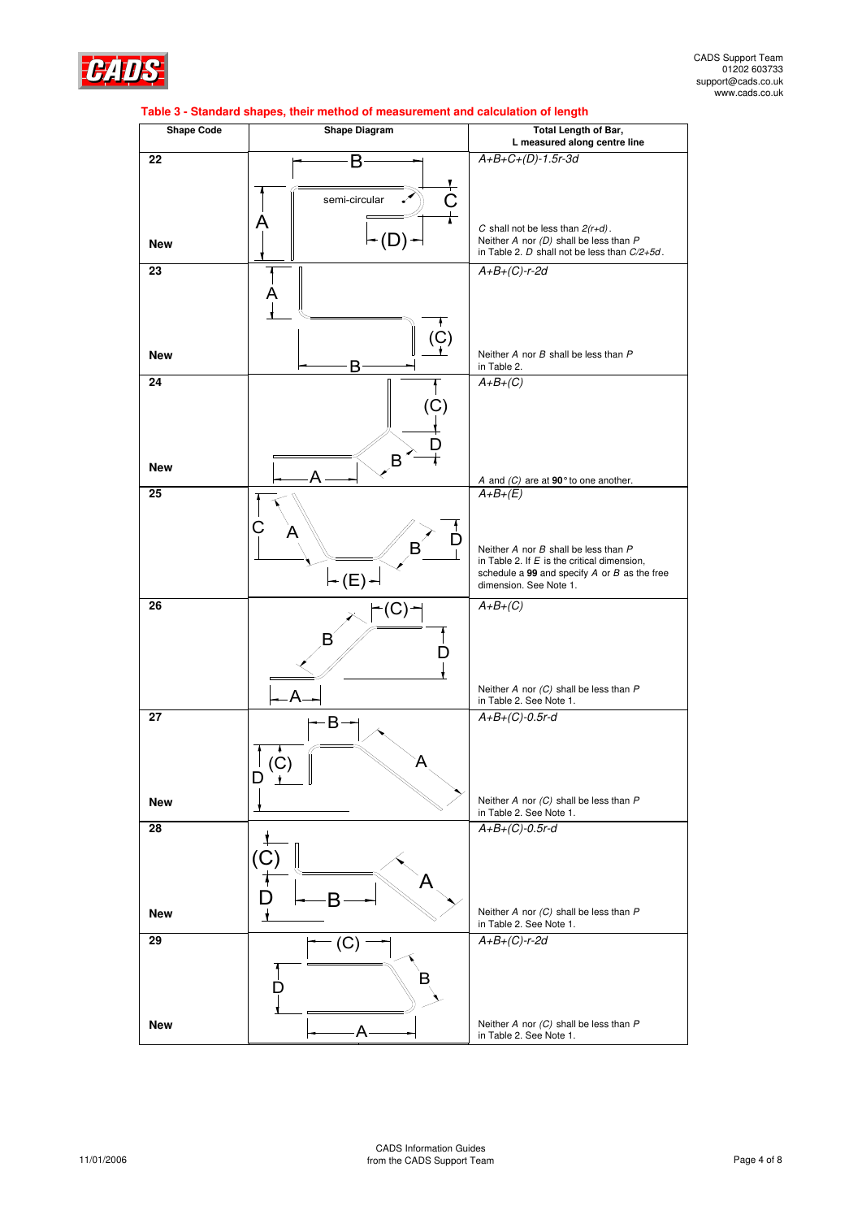

| <b>Shape Code</b> | <b>Shape Diagram</b>           | Total Length of Bar,<br>L measured along centre line                                              |
|-------------------|--------------------------------|---------------------------------------------------------------------------------------------------|
| 22                | В                              | $A+B+C+(D)-1.5r-3d$                                                                               |
|                   |                                |                                                                                                   |
|                   | $\frac{+}{C}$<br>semi-circular |                                                                                                   |
|                   | A                              | C shall not be less than $2(r+d)$ .                                                               |
| <b>New</b>        |                                | Neither $A$ nor $(D)$ shall be less than $P$<br>in Table 2. $D$ shall not be less than $C/2+5d$ . |
| 23                |                                | $A+B+(C)-r-2d$                                                                                    |
|                   | Α                              |                                                                                                   |
|                   |                                |                                                                                                   |
|                   | (Ç)                            |                                                                                                   |
| <b>New</b>        | B                              | Neither A nor B shall be less than P<br>in Table 2.                                               |
| 24                |                                | $A+B+(C)$                                                                                         |
|                   |                                |                                                                                                   |
|                   |                                |                                                                                                   |
|                   | B                              |                                                                                                   |
| <b>New</b>        |                                | A and $(C)$ are at 90 $^{\circ}$ to one another.<br>A+B+(E)                                       |
| 25                |                                |                                                                                                   |
|                   |                                |                                                                                                   |
|                   | B                              | Neither A nor B shall be less than P                                                              |
|                   |                                | in Table 2. If $E$ is the critical dimension,<br>schedule a 99 and specify $A$ or $B$ as the free |
|                   | ← (E) •                        | dimension. See Note 1.                                                                            |
| 26                |                                | $A+B+(C)$                                                                                         |
|                   |                                |                                                                                                   |
|                   |                                |                                                                                                   |
|                   | Δ                              | Neither A nor $(C)$ shall be less than $P$                                                        |
| 27                |                                | in Table 2. See Note 1.<br>$A+B+(C)-0.5r-d$                                                       |
|                   | B                              |                                                                                                   |
|                   |                                |                                                                                                   |
|                   | $\ddot{\phantom{1}}$<br>D      |                                                                                                   |
| <b>New</b>        |                                | Neither $A$ nor $(C)$ shall be less than $P$                                                      |
| 28                |                                | in Table 2. See Note 1.<br>$A+B+(C)-0.5r-d$                                                       |
|                   |                                |                                                                                                   |
|                   |                                |                                                                                                   |
|                   |                                |                                                                                                   |
| <b>New</b>        |                                | Neither A nor $(C)$ shall be less than $P$<br>in Table 2. See Note 1.                             |
| 29                | (C)                            | $A+B+(C)-r-2d$                                                                                    |
|                   |                                |                                                                                                   |
|                   | в                              |                                                                                                   |
|                   |                                |                                                                                                   |
| <b>New</b>        | A                              | Neither $A$ nor $(C)$ shall be less than $P$<br>in Table 2. See Note 1.                           |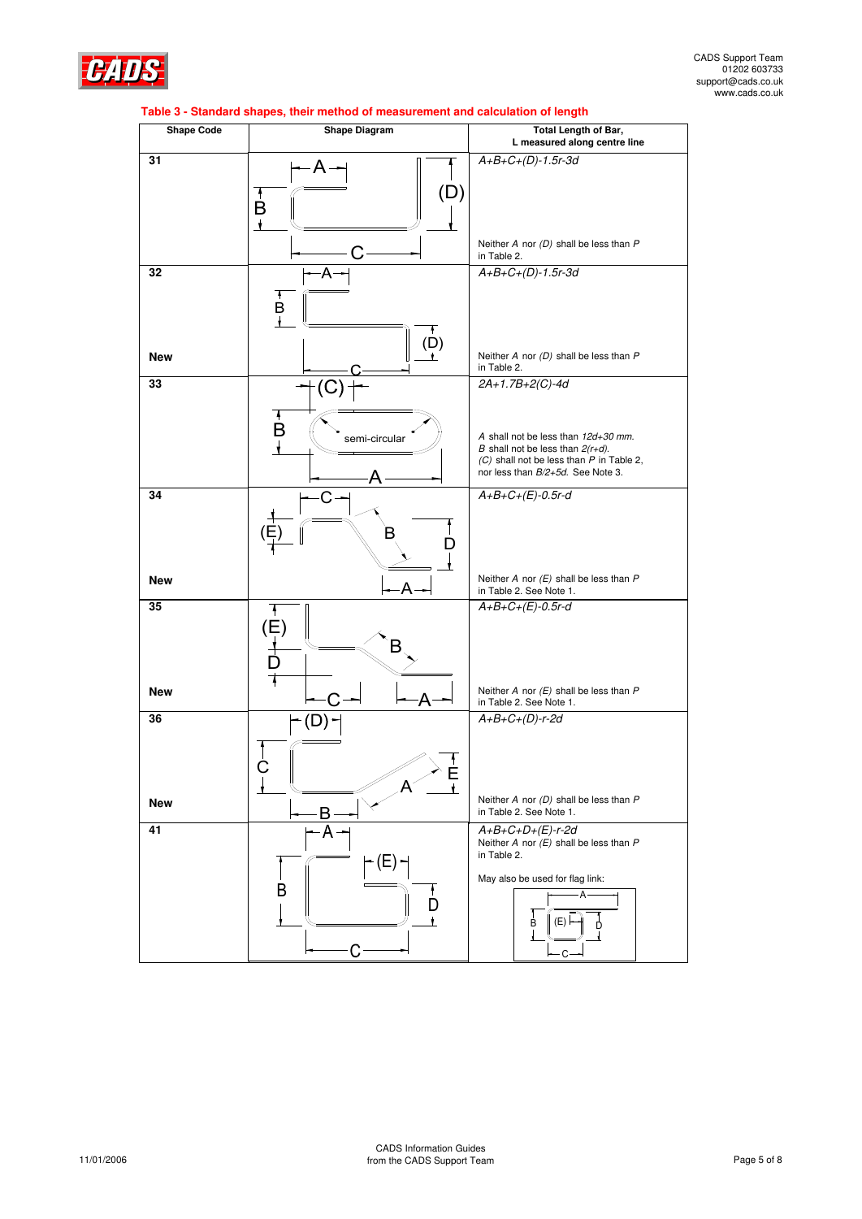

| <b>Shape Code</b> | <b>Shape Diagram</b>                                  | Total Length of Bar,<br>L measured along centre line                                                                                                            |
|-------------------|-------------------------------------------------------|-----------------------------------------------------------------------------------------------------------------------------------------------------------------|
| 31                | (D)<br>$\mathbf{B}^{\dagger}$<br>$\ddot{\phantom{1}}$ | $A+B+C+(D)-1.5r-3d$                                                                                                                                             |
|                   |                                                       | Neither A nor $(D)$ shall be less than $P$<br>in Table 2.                                                                                                       |
| 32                | A<br>$\overrightarrow{B}$                             | $A+B+C+(D)-1.5r-3d$                                                                                                                                             |
| <b>New</b>        | $\binom{\mathsf{D}}{\mathsf{I}}$                      | Neither A nor $(D)$ shall be less than $P$<br>in Table 2.                                                                                                       |
| 33                | (C                                                    | $2A+1.7B+2(C)-4d$                                                                                                                                               |
|                   | B<br>semi-circular<br>Д                               | A shall not be less than 12d+30 mm.<br>B shall not be less than $2(r+d)$ .<br>$(C)$ shall not be less than $P$ in Table 2,<br>nor less than B/2+5d. See Note 3. |
| 34                | C                                                     | $A+B+C+(E)-0.5r-d$                                                                                                                                              |
| <b>New</b>        | Α                                                     | Neither A nor $(E)$ shall be less than $P$<br>in Table 2. See Note 1.                                                                                           |
| 35                | $\frac{1}{\left(\frac{1}{1}\right)}$<br>в             | $A+B+C+(E)-0.5r-d$                                                                                                                                              |
| <b>New</b>        | Α                                                     | Neither A nor $(E)$ shall be less than $P$<br>in Table 2. See Note 1.                                                                                           |
| 36                | А                                                     | $A+B+C+(D)-r-2d$                                                                                                                                                |
| <b>New</b>        | B                                                     | Neither $A$ nor $(D)$ shall be less than $P$<br>in Table 2. See Note 1.                                                                                         |
| 41                | А<br>(E)<br>B<br>П                                    | $A+B+C+D+(E)-r-2d$<br>Neither A nor $(E)$ shall be less than $P$<br>in Table 2.<br>May also be used for flag link:<br>(E) F<br>B<br>D<br>$C -$                  |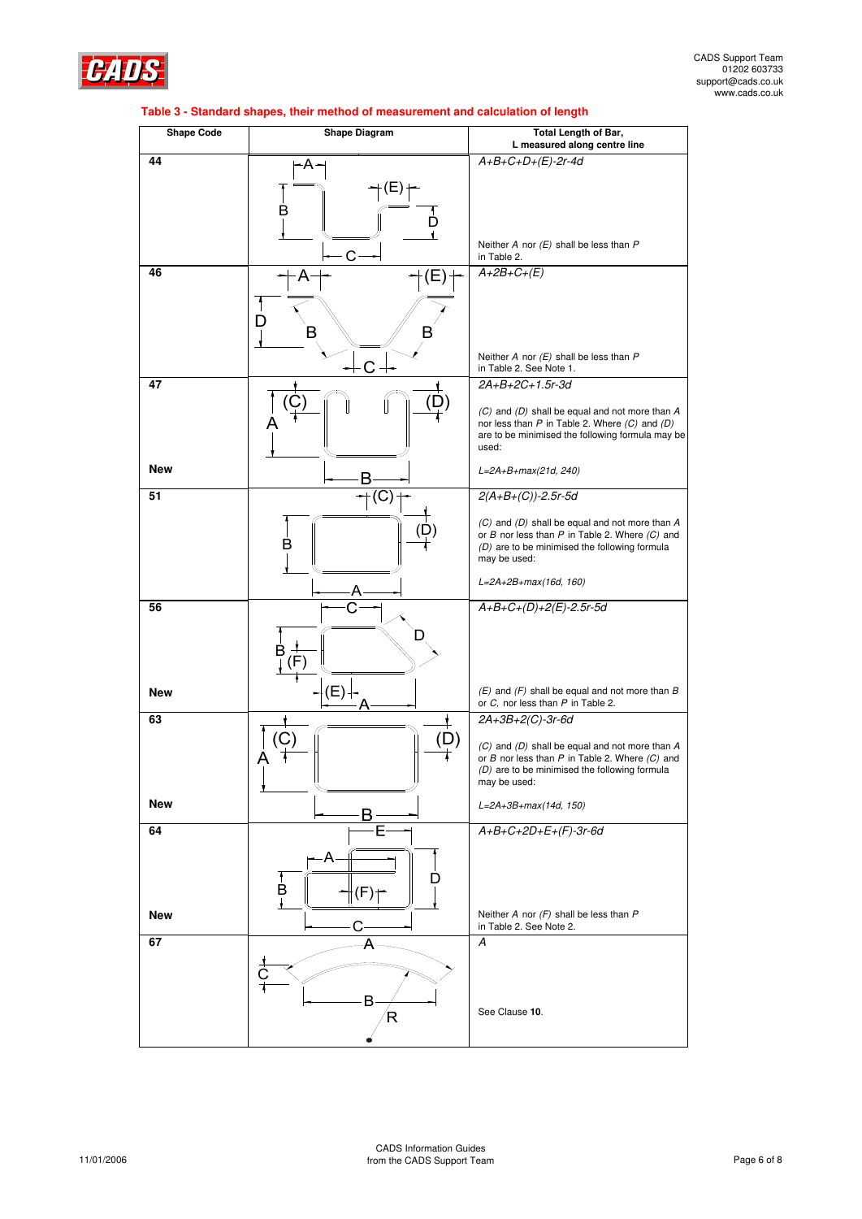

| <b>Shape Code</b> | <b>Shape Diagram</b> | <b>Total Length of Bar,</b><br>L measured along centre line                                            |  |
|-------------------|----------------------|--------------------------------------------------------------------------------------------------------|--|
| 44                | ۰A۰                  | $A+B+C+D+(E)-2r-4d$                                                                                    |  |
|                   |                      |                                                                                                        |  |
|                   | B                    |                                                                                                        |  |
|                   | D                    |                                                                                                        |  |
|                   |                      | Neither A nor $(E)$ shall be less than $P$                                                             |  |
| 46                | C                    | in Table 2.<br>$A+2B+C+(E)$                                                                            |  |
|                   |                      |                                                                                                        |  |
|                   |                      |                                                                                                        |  |
|                   | D<br>В               |                                                                                                        |  |
|                   |                      | Neither A nor $(E)$ shall be less than $P$                                                             |  |
|                   | €                    | in Table 2. See Note 1.                                                                                |  |
| 47                |                      | 2A+B+2C+1.5r-3d                                                                                        |  |
|                   |                      | (C) and (D) shall be equal and not more than A<br>nor less than $P$ in Table 2. Where $(C)$ and $(D)$  |  |
|                   |                      | are to be minimised the following formula may be<br>used:                                              |  |
| <b>New</b>        |                      |                                                                                                        |  |
|                   | В                    | L=2A+B+max(21d, 240)                                                                                   |  |
| 51                | $\rm ^{\prime}C$     | $2(A+B+(C))-2.5r-5d$                                                                                   |  |
|                   |                      | (C) and (D) shall be equal and not more than A<br>or $B$ nor less than $P$ in Table 2. Where $(C)$ and |  |
|                   | B                    | (D) are to be minimised the following formula                                                          |  |
|                   |                      | may be used:                                                                                           |  |
|                   |                      | L=2A+2B+max(16d, 160)                                                                                  |  |
| 56                |                      | $A+B+C+(D)+2(E)-2.5r-5d$                                                                               |  |
|                   | D                    |                                                                                                        |  |
|                   | B<br>۲               |                                                                                                        |  |
|                   |                      |                                                                                                        |  |
| <b>New</b>        | (E)                  | $(E)$ and $(F)$ shall be equal and not more than B<br>or C, nor less than P in Table 2.                |  |
| 63                |                      | 2A+3B+2(C)-3r-6d                                                                                       |  |
|                   | (D)<br>С             | (C) and (D) shall be equal and not more than A                                                         |  |
|                   |                      | or $B$ nor less than $P$ in Table 2. Where $(C)$ and<br>(D) are to be minimised the following formula  |  |
|                   |                      | may be used:                                                                                           |  |
| <b>New</b>        |                      | $L = 2A + 3B + max(14d, 150)$                                                                          |  |
| 64                |                      | $A+B+C+2D+E+(F)-3r-6d$                                                                                 |  |
|                   | ۰A                   |                                                                                                        |  |
|                   |                      |                                                                                                        |  |
|                   | B<br>F               |                                                                                                        |  |
| <b>New</b>        |                      | Neither A nor $(F)$ shall be less than $P$<br>in Table 2. See Note 2.                                  |  |
| 67                |                      | A                                                                                                      |  |
|                   |                      |                                                                                                        |  |
|                   |                      |                                                                                                        |  |
|                   | B<br>R               | See Clause 10.                                                                                         |  |
|                   |                      |                                                                                                        |  |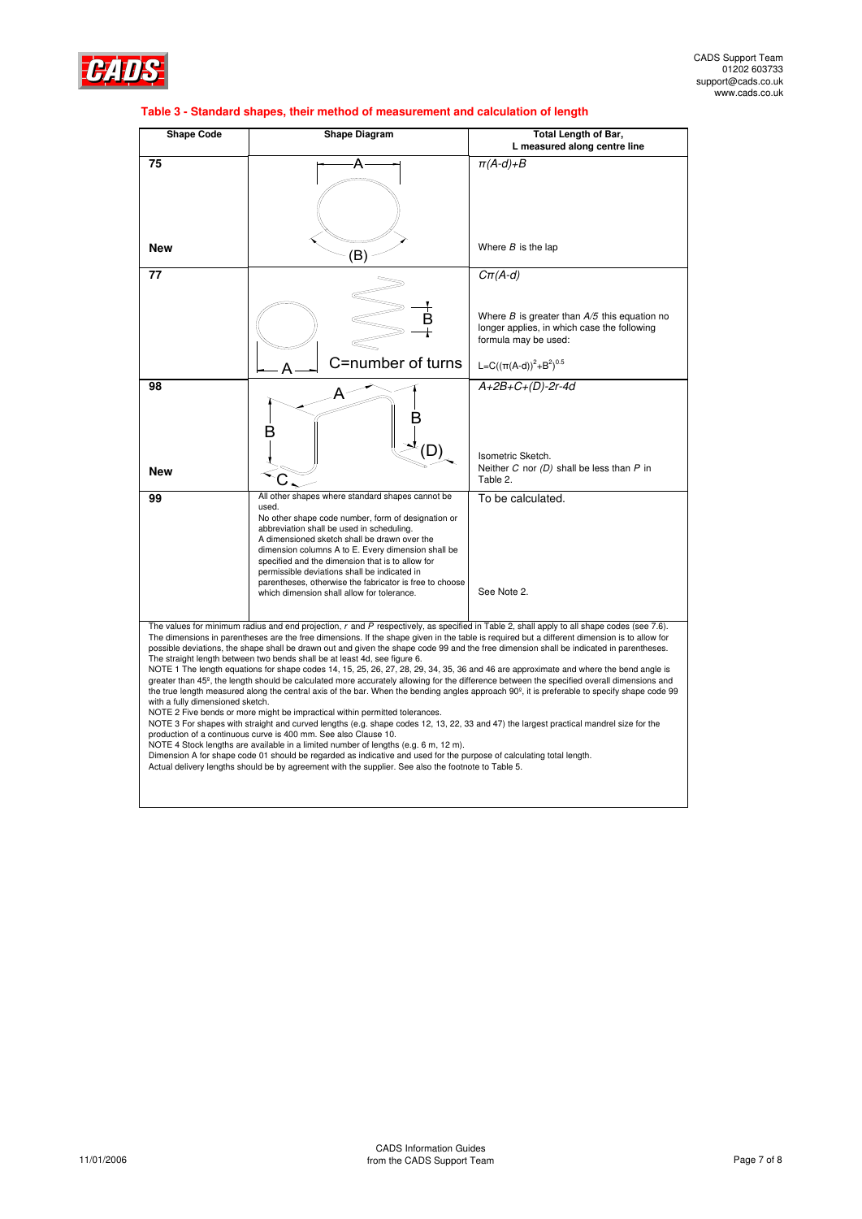

| <b>Shape Code</b>                                                                                                                                                                                                                                                                                                                                                                                                                                                                                                                                                                                                                                                                                                                                                                                                                                                                                                                                                                                                                                                                                                                                                                                                                                                                                                                                                                                                                                                                                                                                                                                                                        | <b>Shape Diagram</b>                                                                                                                                                                                                                                                                                                                                                                                                                                                            | Total Length of Bar,<br>L measured along centre line                                                                                                                                             |
|------------------------------------------------------------------------------------------------------------------------------------------------------------------------------------------------------------------------------------------------------------------------------------------------------------------------------------------------------------------------------------------------------------------------------------------------------------------------------------------------------------------------------------------------------------------------------------------------------------------------------------------------------------------------------------------------------------------------------------------------------------------------------------------------------------------------------------------------------------------------------------------------------------------------------------------------------------------------------------------------------------------------------------------------------------------------------------------------------------------------------------------------------------------------------------------------------------------------------------------------------------------------------------------------------------------------------------------------------------------------------------------------------------------------------------------------------------------------------------------------------------------------------------------------------------------------------------------------------------------------------------------|---------------------------------------------------------------------------------------------------------------------------------------------------------------------------------------------------------------------------------------------------------------------------------------------------------------------------------------------------------------------------------------------------------------------------------------------------------------------------------|--------------------------------------------------------------------------------------------------------------------------------------------------------------------------------------------------|
| 75                                                                                                                                                                                                                                                                                                                                                                                                                                                                                                                                                                                                                                                                                                                                                                                                                                                                                                                                                                                                                                                                                                                                                                                                                                                                                                                                                                                                                                                                                                                                                                                                                                       | A                                                                                                                                                                                                                                                                                                                                                                                                                                                                               | $\pi(A-d)+B$                                                                                                                                                                                     |
| <b>New</b>                                                                                                                                                                                                                                                                                                                                                                                                                                                                                                                                                                                                                                                                                                                                                                                                                                                                                                                                                                                                                                                                                                                                                                                                                                                                                                                                                                                                                                                                                                                                                                                                                               | (B)                                                                                                                                                                                                                                                                                                                                                                                                                                                                             | Where $B$ is the lap                                                                                                                                                                             |
| 77                                                                                                                                                                                                                                                                                                                                                                                                                                                                                                                                                                                                                                                                                                                                                                                                                                                                                                                                                                                                                                                                                                                                                                                                                                                                                                                                                                                                                                                                                                                                                                                                                                       | C=number of turns                                                                                                                                                                                                                                                                                                                                                                                                                                                               | $C\pi(A-d)$<br>Where $B$ is greater than $A/5$ this equation no<br>longer applies, in which case the following<br>formula may be used:<br>L=C( $(\pi(A-d))^{2}$ +B <sup>2</sup> ) <sup>0.5</sup> |
| 98<br><b>New</b>                                                                                                                                                                                                                                                                                                                                                                                                                                                                                                                                                                                                                                                                                                                                                                                                                                                                                                                                                                                                                                                                                                                                                                                                                                                                                                                                                                                                                                                                                                                                                                                                                         |                                                                                                                                                                                                                                                                                                                                                                                                                                                                                 | $A+2B+C+(D)-2r-4d$<br>Isometric Sketch.<br>Neither $C$ nor $(D)$ shall be less than $P$ in<br>Table 2.                                                                                           |
| 99                                                                                                                                                                                                                                                                                                                                                                                                                                                                                                                                                                                                                                                                                                                                                                                                                                                                                                                                                                                                                                                                                                                                                                                                                                                                                                                                                                                                                                                                                                                                                                                                                                       | All other shapes where standard shapes cannot be<br>used.<br>No other shape code number, form of designation or<br>abbreviation shall be used in scheduling.<br>A dimensioned sketch shall be drawn over the<br>dimension columns A to E. Every dimension shall be<br>specified and the dimension that is to allow for<br>permissible deviations shall be indicated in<br>parentheses, otherwise the fabricator is free to choose<br>which dimension shall allow for tolerance. | To be calculated.<br>See Note 2.                                                                                                                                                                 |
| The values for minimum radius and end projection, r and P respectively, as specified in Table 2, shall apply to all shape codes (see 7.6).<br>The dimensions in parentheses are the free dimensions. If the shape given in the table is required but a different dimension is to allow for<br>possible deviations, the shape shall be drawn out and given the shape code 99 and the free dimension shall be indicated in parentheses.<br>The straight length between two bends shall be at least 4d, see figure 6.<br>NOTE 1 The length equations for shape codes 14, 15, 25, 26, 27, 28, 29, 34, 35, 36 and 46 are approximate and where the bend angle is<br>greater than 45 <sup>°</sup> , the length should be calculated more accurately allowing for the difference between the specified overall dimensions and<br>the true length measured along the central axis of the bar. When the bending angles approach 90 <sup>°</sup> , it is preferable to specify shape code 99<br>with a fully dimensioned sketch.<br>NOTE 2 Five bends or more might be impractical within permitted tolerances.<br>NOTE 3 For shapes with straight and curved lengths (e.g. shape codes 12, 13, 22, 33 and 47) the largest practical mandrel size for the<br>production of a continuous curve is 400 mm. See also Clause 10.<br>NOTE 4 Stock lengths are available in a limited number of lengths (e.g. 6 m, 12 m).<br>Dimension A for shape code 01 should be regarded as indicative and used for the purpose of calculating total length.<br>Actual delivery lengths should be by agreement with the supplier. See also the footnote to Table 5. |                                                                                                                                                                                                                                                                                                                                                                                                                                                                                 |                                                                                                                                                                                                  |